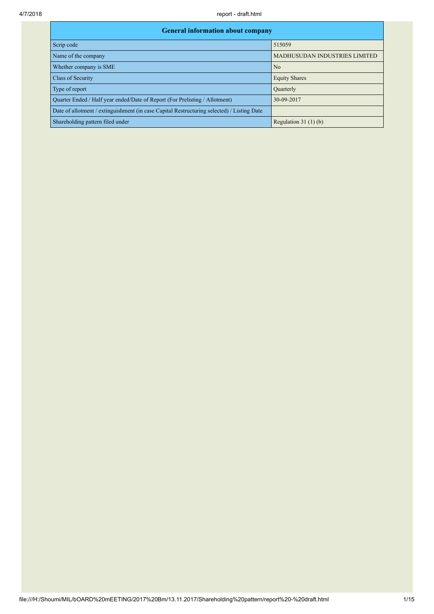| <b>General information about company</b>                                                   |                                      |  |  |  |  |  |  |
|--------------------------------------------------------------------------------------------|--------------------------------------|--|--|--|--|--|--|
| Scrip code                                                                                 | 515059                               |  |  |  |  |  |  |
| Name of the company                                                                        | <b>MADHUSUDAN INDUSTRIES LIMITED</b> |  |  |  |  |  |  |
| Whether company is SME                                                                     | N <sub>o</sub>                       |  |  |  |  |  |  |
| Class of Security                                                                          | <b>Equity Shares</b>                 |  |  |  |  |  |  |
| Type of report                                                                             | Quarterly                            |  |  |  |  |  |  |
| Quarter Ended / Half year ended/Date of Report (For Prelisting / Allotment)                | 30-09-2017                           |  |  |  |  |  |  |
| Date of allotment / extinguishment (in case Capital Restructuring selected) / Listing Date |                                      |  |  |  |  |  |  |
| Shareholding pattern filed under                                                           | Regulation $31(1)(b)$                |  |  |  |  |  |  |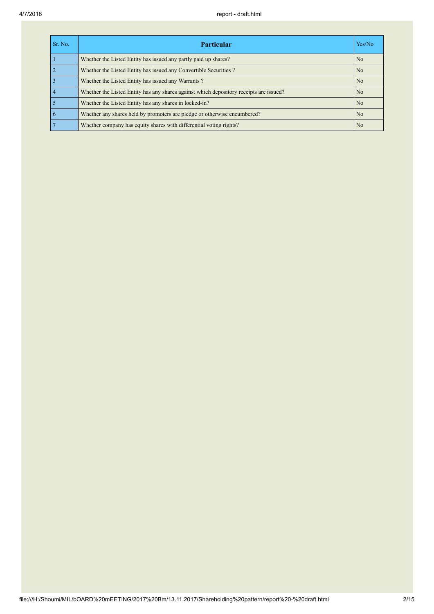| Sr. No. | <b>Particular</b>                                                                      | Yes/No         |
|---------|----------------------------------------------------------------------------------------|----------------|
|         | Whether the Listed Entity has issued any partly paid up shares?                        | N <sub>0</sub> |
|         | Whether the Listed Entity has issued any Convertible Securities?                       | N <sub>0</sub> |
|         | Whether the Listed Entity has issued any Warrants?                                     | N <sub>0</sub> |
|         | Whether the Listed Entity has any shares against which depository receipts are issued? | N <sub>0</sub> |
|         | Whether the Listed Entity has any shares in locked-in?                                 | N <sub>0</sub> |
|         | Whether any shares held by promoters are pledge or otherwise encumbered?               | N <sub>0</sub> |
|         | Whether company has equity shares with differential voting rights?                     | N <sub>0</sub> |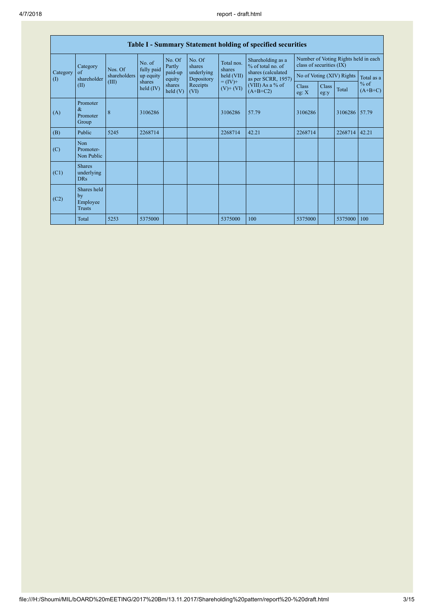| Table I - Summary Statement holding of specified securities |                                                |                     |                      |                          |                                           |                                                                            |                                        |                                                                  |       |                     |       |
|-------------------------------------------------------------|------------------------------------------------|---------------------|----------------------|--------------------------|-------------------------------------------|----------------------------------------------------------------------------|----------------------------------------|------------------------------------------------------------------|-------|---------------------|-------|
| Category<br>Category<br>of<br>shareholder<br>(1)<br>(II)    |                                                | Nos. Of             | No. of<br>fully paid | No. Of<br>Partly         | No. Of<br>shares                          | Total nos.<br>shares                                                       | Shareholding as a<br>% of total no. of | Number of Voting Rights held in each<br>class of securities (IX) |       |                     |       |
|                                                             | shareholders                                   | up equity           | paid-up<br>equity    | underlying<br>Depository | held (VII)<br>$= (IV) +$<br>$(V)$ + $(V)$ | shares (calculated<br>as per SCRR, 1957)<br>(VIII) As a % of<br>$(A+B+C2)$ | No of Voting (XIV) Rights              |                                                                  |       | Total as a          |       |
|                                                             | (III)                                          | shares<br>held (IV) | shares<br>held $(V)$ | Receipts<br>(VI)         |                                           |                                                                            | <b>Class</b><br>eg: $X$                | <b>Class</b><br>eg:y                                             | Total | $%$ of<br>$(A+B+C)$ |       |
| (A)                                                         | Promoter<br>&<br>Promoter<br>Group             | 8                   | 3106286              |                          |                                           | 3106286                                                                    | 57.79                                  | 3106286                                                          |       | 3106286 57.79       |       |
| (B)                                                         | Public                                         | 5245                | 2268714              |                          |                                           | 2268714                                                                    | 42.21                                  | 2268714                                                          |       | 2268714             | 42.21 |
| (C)                                                         | Non<br>Promoter-<br>Non Public                 |                     |                      |                          |                                           |                                                                            |                                        |                                                                  |       |                     |       |
| (C1)                                                        | <b>Shares</b><br>underlying<br><b>DRs</b>      |                     |                      |                          |                                           |                                                                            |                                        |                                                                  |       |                     |       |
| (C2)                                                        | Shares held<br>by<br>Employee<br><b>Trusts</b> |                     |                      |                          |                                           |                                                                            |                                        |                                                                  |       |                     |       |
|                                                             | Total                                          | 5253                | 5375000              |                          |                                           | 5375000                                                                    | 100                                    | 5375000                                                          |       | 5375000             | 100   |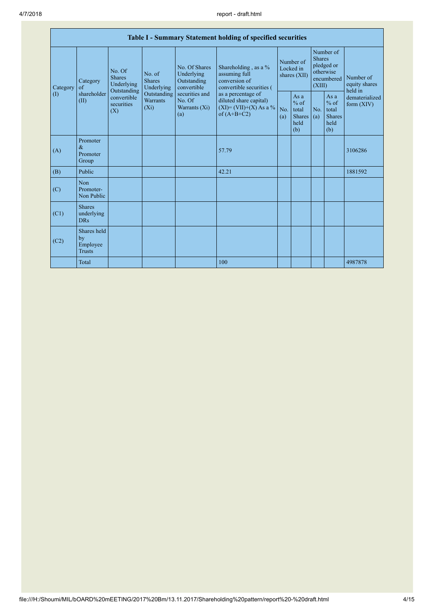| Table I - Summary Statement holding of specified securities |                                                |                                                 |                                           |                                                           |                                                                                            |                                        |                                                         |                                                                               |                                                         |                                       |
|-------------------------------------------------------------|------------------------------------------------|-------------------------------------------------|-------------------------------------------|-----------------------------------------------------------|--------------------------------------------------------------------------------------------|----------------------------------------|---------------------------------------------------------|-------------------------------------------------------------------------------|---------------------------------------------------------|---------------------------------------|
| Category                                                    | Category<br>of                                 | No. Of<br><b>Shares</b><br>Underlying           | No. of<br><b>Shares</b><br>Underlying     | No. Of Shares<br>Underlying<br>Outstanding<br>convertible | Shareholding, as a %<br>assuming full<br>conversion of<br>convertible securities (         | Number of<br>Locked in<br>shares (XII) |                                                         | Number of<br><b>Shares</b><br>pledged or<br>otherwise<br>encumbered<br>(XIII) |                                                         | Number of<br>equity shares<br>held in |
| $\left( \mathrm{I}\right)$                                  | shareholder<br>(II)                            | Outstanding<br>convertible<br>securities<br>(X) | Outstanding<br><b>Warrants</b><br>$(X_i)$ | securities and<br>No. Of<br>Warrants (Xi)<br>(a)          | as a percentage of<br>diluted share capital)<br>$(XI) = (VII)+(X) As a %$<br>of $(A+B+C2)$ | No.<br>(a)                             | As a<br>$%$ of<br>total<br><b>Shares</b><br>held<br>(b) | No.<br>(a)                                                                    | As a<br>$%$ of<br>total<br><b>Shares</b><br>held<br>(b) | dematerialized<br>form $(XIV)$        |
| (A)                                                         | Promoter<br>$\&$<br>Promoter<br>Group          |                                                 |                                           |                                                           | 57.79                                                                                      |                                        |                                                         |                                                                               |                                                         | 3106286                               |
| (B)                                                         | Public                                         |                                                 |                                           |                                                           | 42.21                                                                                      |                                        |                                                         |                                                                               |                                                         | 1881592                               |
| (C)                                                         | Non<br>Promoter-<br>Non Public                 |                                                 |                                           |                                                           |                                                                                            |                                        |                                                         |                                                                               |                                                         |                                       |
| (C1)                                                        | <b>Shares</b><br>underlying<br><b>DRs</b>      |                                                 |                                           |                                                           |                                                                                            |                                        |                                                         |                                                                               |                                                         |                                       |
| (C2)                                                        | Shares held<br>by<br>Employee<br><b>Trusts</b> |                                                 |                                           |                                                           |                                                                                            |                                        |                                                         |                                                                               |                                                         |                                       |
|                                                             | Total                                          |                                                 |                                           |                                                           | 100                                                                                        |                                        |                                                         |                                                                               |                                                         | 4987878                               |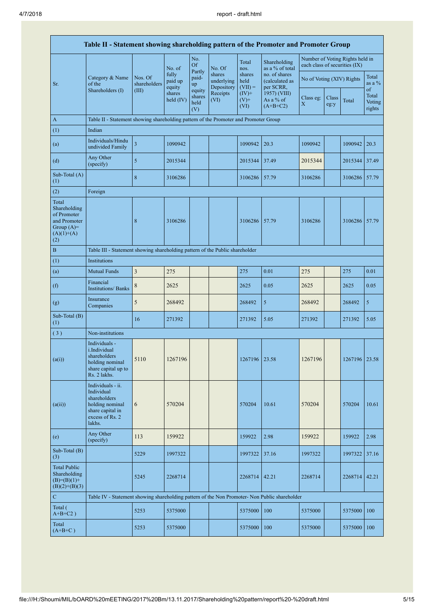| Table II - Statement showing shareholding pattern of the Promoter and Promoter Group        |                                                                                                                     |                         |                            |                                 |                                    |                             |                                              |                               |               |                                 |                           |
|---------------------------------------------------------------------------------------------|---------------------------------------------------------------------------------------------------------------------|-------------------------|----------------------------|---------------------------------|------------------------------------|-----------------------------|----------------------------------------------|-------------------------------|---------------|---------------------------------|---------------------------|
|                                                                                             |                                                                                                                     |                         | No. of                     | No.<br><b>Of</b>                | No. Of                             | Total<br>nos.               | Shareholding<br>as a % of total              | each class of securities (IX) |               | Number of Voting Rights held in |                           |
| Sr.                                                                                         | Category & Name<br>of the                                                                                           | Nos. Of<br>shareholders | fully<br>paid up<br>equity | Partly<br>paid-<br>up           | shares<br>underlying<br>Depository | shares<br>held<br>$(VII) =$ | no. of shares<br>(calculated as<br>per SCRR, | No of Voting (XIV) Rights     |               |                                 | Total<br>as a $%$<br>of   |
|                                                                                             | Shareholders (I)                                                                                                    | (III)                   | shares<br>held $(IV)$      | equity<br>shares<br>held<br>(V) | Receipts<br>(VI)                   | $(IV)$ +<br>$(V)$ +<br>(VI) | 1957) (VIII)<br>As a % of<br>$(A+B+C2)$      | Class eg:<br>X                | Class<br>eg:y | Total                           | Total<br>Voting<br>rights |
| $\mathbf{A}$                                                                                | Table II - Statement showing shareholding pattern of the Promoter and Promoter Group                                |                         |                            |                                 |                                    |                             |                                              |                               |               |                                 |                           |
| (1)                                                                                         | Indian                                                                                                              |                         |                            |                                 |                                    |                             |                                              |                               |               |                                 |                           |
| (a)                                                                                         | Individuals/Hindu<br>undivided Family                                                                               | 3                       | 1090942                    |                                 |                                    | 1090942                     | 20.3                                         | 1090942                       |               | 1090942                         | 20.3                      |
| (d)                                                                                         | Any Other<br>(specify)                                                                                              | 5                       | 2015344                    |                                 |                                    | 2015344                     | 37.49                                        | 2015344                       |               | 2015344                         | 37.49                     |
| Sub-Total (A)<br>(1)                                                                        |                                                                                                                     | 8                       | 3106286                    |                                 |                                    | 3106286                     | 57.79                                        | 3106286                       |               | 3106286                         | 57.79                     |
| (2)                                                                                         | Foreign                                                                                                             |                         |                            |                                 |                                    |                             |                                              |                               |               |                                 |                           |
| Total<br>Shareholding<br>of Promoter<br>and Promoter<br>Group $(A)=$<br>$(A)(1)+(A)$<br>(2) |                                                                                                                     | 8                       | 3106286                    |                                 |                                    | 3106286                     | 57.79                                        | 3106286                       |               | 3106286 57.79                   |                           |
| $\bf{B}$                                                                                    | Table III - Statement showing shareholding pattern of the Public shareholder                                        |                         |                            |                                 |                                    |                             |                                              |                               |               |                                 |                           |
| (1)                                                                                         | <b>Institutions</b>                                                                                                 |                         |                            |                                 |                                    |                             |                                              |                               |               |                                 |                           |
| (a)                                                                                         | <b>Mutual Funds</b>                                                                                                 | 3                       | 275                        |                                 |                                    | 275                         | 0.01                                         | 275                           |               | 275                             | 0.01                      |
| (f)                                                                                         | Financial<br><b>Institutions/Banks</b>                                                                              | 8                       | 2625                       |                                 |                                    | 2625                        | 0.05                                         | 2625                          |               | 2625                            | 0.05                      |
| (g)                                                                                         | Insurance<br>Companies                                                                                              | 5                       | 268492                     |                                 |                                    | 268492                      | 5                                            | 268492                        |               | 268492                          | 5                         |
| Sub-Total (B)<br>(1)                                                                        |                                                                                                                     | 16                      | 271392                     |                                 |                                    | 271392                      | 5.05                                         | 271392                        |               | 271392                          | 5.05                      |
| (3)                                                                                         | Non-institutions                                                                                                    |                         |                            |                                 |                                    |                             |                                              |                               |               |                                 |                           |
| (a(i))                                                                                      | Individuals -<br>i.Individual<br>shareholders<br>holding nominal<br>share capital up to<br>Rs. 2 lakhs.             | 5110                    | 1267196                    |                                 |                                    | 1267196                     | 23.58                                        | 1267196                       |               | 1267196   23.58                 |                           |
| (a(ii))                                                                                     | Individuals - ii.<br>Individual<br>shareholders<br>holding nominal<br>share capital in<br>excess of Rs. 2<br>lakhs. | 6                       | 570204                     |                                 |                                    | 570204                      | 10.61                                        | 570204                        |               | 570204                          | 10.61                     |
| (e)                                                                                         | Any Other<br>(specify)                                                                                              | 113                     | 159922                     |                                 |                                    | 159922                      | 2.98                                         | 159922                        |               | 159922                          | 2.98                      |
| Sub-Total (B)<br>(3)                                                                        |                                                                                                                     | 5229                    | 1997322                    |                                 |                                    | 1997322                     | 37.16                                        | 1997322                       |               | 1997322                         | 37.16                     |
| <b>Total Public</b><br>Shareholding<br>$(B)=(B)(1)+$<br>$(B)(2)+(B)(3)$                     |                                                                                                                     | 5245                    | 2268714                    |                                 |                                    | 2268714                     | 42.21                                        | 2268714                       |               | 2268714                         | 42.21                     |
| ${\bf C}$                                                                                   | Table IV - Statement showing shareholding pattern of the Non Promoter- Non Public shareholder                       |                         |                            |                                 |                                    |                             |                                              |                               |               |                                 |                           |
| Total (<br>$A+B+C2$ )                                                                       |                                                                                                                     | 5253                    | 5375000                    |                                 |                                    | 5375000                     | 100                                          | 5375000                       |               | 5375000                         | 100                       |
| Total<br>$(A+B+C)$                                                                          |                                                                                                                     | 5253                    | 5375000                    |                                 |                                    | 5375000                     | 100                                          | 5375000                       |               | 5375000                         | 100                       |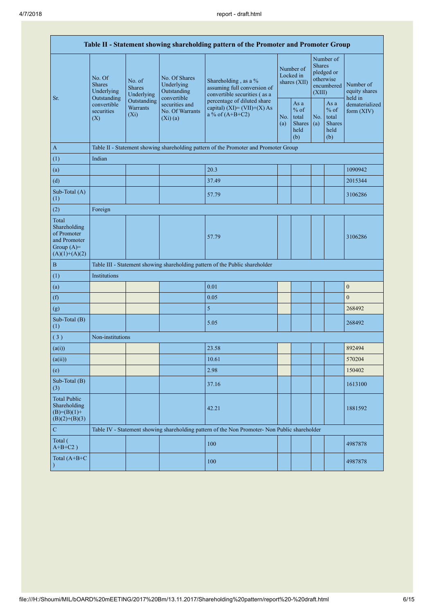| Table II - Statement showing shareholding pattern of the Promoter and Promoter Group    |                                                                                          |                                                                                                |                                                                                    |                                                                                               |                                                  |            |                                                                               |  |                                                                         |
|-----------------------------------------------------------------------------------------|------------------------------------------------------------------------------------------|------------------------------------------------------------------------------------------------|------------------------------------------------------------------------------------|-----------------------------------------------------------------------------------------------|--------------------------------------------------|------------|-------------------------------------------------------------------------------|--|-------------------------------------------------------------------------|
| Sr.                                                                                     | No. Of<br><b>Shares</b><br>Underlying<br>Outstanding<br>convertible<br>securities<br>(X) | No. of<br><b>Shares</b><br>Underlying                                                          | No. Of Shares<br>Underlying<br>Outstanding<br>convertible                          | Shareholding, as a %<br>assuming full conversion of<br>convertible securities (as a           | Number of<br>Locked in<br>shares (XII)           |            | Number of<br><b>Shares</b><br>pledged or<br>otherwise<br>encumbered<br>(XIII) |  | Number of<br>equity shares<br>held in<br>dematerialized<br>form $(XIV)$ |
|                                                                                         |                                                                                          | Outstanding<br>securities and<br><b>Warrants</b><br>No. Of Warrants<br>$(X_i)$<br>$(Xi)$ $(a)$ | percentage of diluted share<br>capital) $(XI) = (VII)+(X) As$<br>a % of $(A+B+C2)$ |                                                                                               | As a<br>$%$ of<br>total<br>Shares<br>held<br>(b) | No.<br>(a) | As a<br>$%$ of<br>total<br><b>Shares</b><br>held<br>(b)                       |  |                                                                         |
| $\mathbf{A}$                                                                            |                                                                                          |                                                                                                |                                                                                    | Table II - Statement showing shareholding pattern of the Promoter and Promoter Group          |                                                  |            |                                                                               |  |                                                                         |
| (1)                                                                                     | Indian                                                                                   |                                                                                                |                                                                                    |                                                                                               |                                                  |            |                                                                               |  |                                                                         |
| (a)                                                                                     |                                                                                          |                                                                                                |                                                                                    | 20.3                                                                                          |                                                  |            |                                                                               |  | 1090942                                                                 |
| (d)                                                                                     |                                                                                          |                                                                                                |                                                                                    | 37.49                                                                                         |                                                  |            |                                                                               |  | 2015344                                                                 |
| Sub-Total (A)<br>(1)                                                                    |                                                                                          |                                                                                                |                                                                                    | 57.79                                                                                         |                                                  |            |                                                                               |  | 3106286                                                                 |
| (2)                                                                                     | Foreign                                                                                  |                                                                                                |                                                                                    |                                                                                               |                                                  |            |                                                                               |  |                                                                         |
| Total<br>Shareholding<br>of Promoter<br>and Promoter<br>Group $(A)=$<br>$(A)(1)+(A)(2)$ |                                                                                          |                                                                                                |                                                                                    | 57.79                                                                                         |                                                  |            |                                                                               |  | 3106286                                                                 |
| $\, {\bf B}$                                                                            |                                                                                          |                                                                                                |                                                                                    | Table III - Statement showing shareholding pattern of the Public shareholder                  |                                                  |            |                                                                               |  |                                                                         |
| (1)                                                                                     | Institutions                                                                             |                                                                                                |                                                                                    |                                                                                               |                                                  |            |                                                                               |  |                                                                         |
| (a)                                                                                     |                                                                                          |                                                                                                |                                                                                    | 0.01                                                                                          |                                                  |            |                                                                               |  | $\boldsymbol{0}$                                                        |
| (f)                                                                                     |                                                                                          |                                                                                                |                                                                                    | 0.05                                                                                          |                                                  |            |                                                                               |  | $\boldsymbol{0}$                                                        |
| (g)                                                                                     |                                                                                          |                                                                                                |                                                                                    | 5                                                                                             |                                                  |            |                                                                               |  | 268492                                                                  |
| Sub-Total (B)<br>(1)                                                                    |                                                                                          |                                                                                                |                                                                                    | 5.05                                                                                          |                                                  |            |                                                                               |  | 268492                                                                  |
| (3)                                                                                     | Non-institutions                                                                         |                                                                                                |                                                                                    |                                                                                               |                                                  |            |                                                                               |  |                                                                         |
| (a(i))                                                                                  |                                                                                          |                                                                                                |                                                                                    | 23.58                                                                                         |                                                  |            |                                                                               |  | 892494                                                                  |
| (a(ii))                                                                                 |                                                                                          |                                                                                                |                                                                                    | 10.61                                                                                         |                                                  |            |                                                                               |  | 570204                                                                  |
| (e)                                                                                     |                                                                                          |                                                                                                |                                                                                    | 2.98                                                                                          |                                                  |            |                                                                               |  | 150402                                                                  |
| Sub-Total (B)<br>(3)                                                                    |                                                                                          |                                                                                                |                                                                                    | 37.16                                                                                         |                                                  |            |                                                                               |  | 1613100                                                                 |
| <b>Total Public</b><br>Shareholding<br>$(B)= (B)(1) +$<br>$(B)(2)+(B)(3)$               |                                                                                          |                                                                                                |                                                                                    | 42.21                                                                                         |                                                  |            |                                                                               |  | 1881592                                                                 |
| $\mathbf C$                                                                             |                                                                                          |                                                                                                |                                                                                    | Table IV - Statement showing shareholding pattern of the Non Promoter- Non Public shareholder |                                                  |            |                                                                               |  |                                                                         |
| Total (<br>$A+B+C2$ )                                                                   |                                                                                          |                                                                                                |                                                                                    | 100                                                                                           |                                                  |            |                                                                               |  | 4987878                                                                 |
| Total (A+B+C                                                                            |                                                                                          |                                                                                                |                                                                                    | 100                                                                                           |                                                  |            |                                                                               |  | 4987878                                                                 |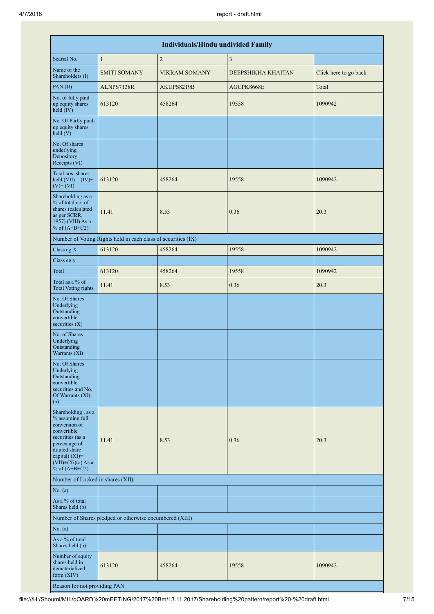|                                                                                                                                                                                             |                                                               | <b>Individuals/Hindu undivided Family</b> |                    |                       |
|---------------------------------------------------------------------------------------------------------------------------------------------------------------------------------------------|---------------------------------------------------------------|-------------------------------------------|--------------------|-----------------------|
| Searial No.                                                                                                                                                                                 | $\mathbf{1}$                                                  | $\overline{2}$                            | 3                  |                       |
| Name of the<br>Shareholders (I)                                                                                                                                                             | <b>SMITI SOMANY</b>                                           | <b>VIKRAM SOMANY</b>                      | DEEPSHIKHA KHAITAN | Click here to go back |
| PAN (II)                                                                                                                                                                                    | ALNPS7138R                                                    | AKUPS8219B                                | AGCPK8668E         | Total                 |
| No. of fully paid<br>up equity shares<br>$held$ (IV)                                                                                                                                        | 613120                                                        | 458264                                    | 19558              | 1090942               |
| No. Of Partly paid-<br>up equity shares<br>$\text{held}(V)$                                                                                                                                 |                                                               |                                           |                    |                       |
| No. Of shares<br>underlying<br>Depository<br>Receipts (VI)                                                                                                                                  |                                                               |                                           |                    |                       |
| Total nos. shares<br>held $(VII) = (IV) +$<br>$(V)$ + $(VI)$                                                                                                                                | 613120                                                        | 458264                                    | 19558              | 1090942               |
| Shareholding as a<br>% of total no. of<br>shares (calculated<br>as per SCRR,<br>1957) (VIII) As a<br>% of $(A+B+C2)$                                                                        | 11.41                                                         | 8.53                                      | 0.36               | 20.3                  |
|                                                                                                                                                                                             | Number of Voting Rights held in each class of securities (IX) |                                           |                    |                       |
| Class eg:X                                                                                                                                                                                  | 613120                                                        | 458264                                    | 19558              | 1090942               |
| Class eg:y                                                                                                                                                                                  |                                                               |                                           |                    |                       |
| Total                                                                                                                                                                                       | 613120                                                        | 458264                                    | 19558              | 1090942               |
| Total as a % of<br><b>Total Voting rights</b>                                                                                                                                               | 11.41                                                         | 8.53                                      | 0.36               | 20.3                  |
| No. Of Shares<br>Underlying<br>Outstanding<br>convertible<br>securities $(X)$                                                                                                               |                                                               |                                           |                    |                       |
| No. of Shares<br>Underlying<br>Outstanding<br>Warrants (Xi)                                                                                                                                 |                                                               |                                           |                    |                       |
| No. Of Shares<br>Underlying<br>Outstanding<br>convertible<br>securities and No.<br>Of Warrants (Xi)<br>(a)                                                                                  |                                                               |                                           |                    |                       |
| Shareholding, as a<br>% assuming full<br>conversion of<br>convertible<br>securities (as a<br>percentage of<br>diluted share<br>capital) $(XI)$ =<br>$(VII)+(Xi)(a)$ As a<br>% of $(A+B+C2)$ | 11.41                                                         | 8.53                                      | 0.36               | 20.3                  |
| Number of Locked in shares (XII)                                                                                                                                                            |                                                               |                                           |                    |                       |
| No. $(a)$                                                                                                                                                                                   |                                                               |                                           |                    |                       |
| As a % of total<br>Shares held (b)                                                                                                                                                          |                                                               |                                           |                    |                       |
|                                                                                                                                                                                             | Number of Shares pledged or otherwise encumbered (XIII)       |                                           |                    |                       |
| No. $(a)$                                                                                                                                                                                   |                                                               |                                           |                    |                       |
| As a % of total<br>Shares held (b)                                                                                                                                                          |                                                               |                                           |                    |                       |
| Number of equity<br>shares held in<br>dematerialized<br>form (XIV)                                                                                                                          | 613120                                                        | 458264                                    | 19558              | 1090942               |
| Reason for not providing PAN                                                                                                                                                                |                                                               |                                           |                    |                       |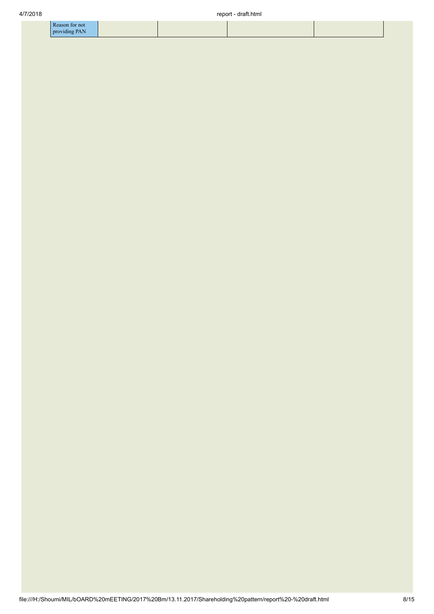|   | for not |  |
|---|---------|--|
| . |         |  |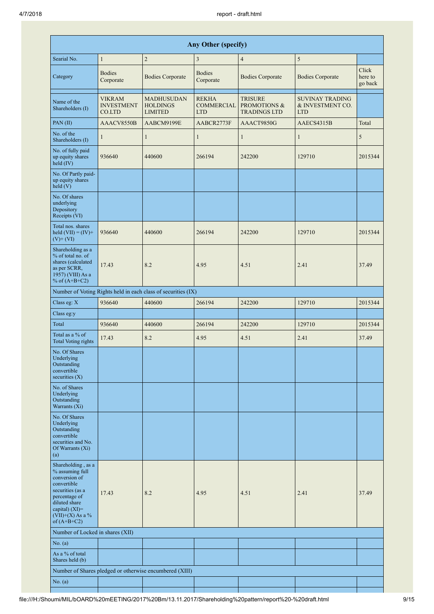| <b>Any Other (specify)</b>                                                                                                                                                              |                                              |                                                               |                                                 |                                                                  |                                                          |                             |  |  |  |  |
|-----------------------------------------------------------------------------------------------------------------------------------------------------------------------------------------|----------------------------------------------|---------------------------------------------------------------|-------------------------------------------------|------------------------------------------------------------------|----------------------------------------------------------|-----------------------------|--|--|--|--|
| Searial No.                                                                                                                                                                             | $\mathbf{1}$                                 | $\sqrt{2}$                                                    | 3                                               | $\overline{4}$                                                   | $\sqrt{5}$                                               |                             |  |  |  |  |
| Category                                                                                                                                                                                | <b>Bodies</b><br>Corporate                   | <b>Bodies Corporate</b>                                       | <b>Bodies</b><br>Corporate                      | <b>Bodies Corporate</b>                                          | <b>Bodies Corporate</b>                                  | Click<br>here to<br>go back |  |  |  |  |
| Name of the<br>Shareholders (I)                                                                                                                                                         | <b>VIKRAM</b><br><b>INVESTMENT</b><br>CO.LTD | <b>MADHUSUDAN</b><br><b>HOLDINGS</b><br><b>LIMITED</b>        | <b>REKHA</b><br><b>COMMERCIAL</b><br><b>LTD</b> | <b>TRISURE</b><br><b>PROMOTIONS &amp;</b><br><b>TRADINGS LTD</b> | <b>SUVINAY TRADING</b><br>& INVESTMENT CO.<br><b>LTD</b> |                             |  |  |  |  |
| PAN(II)                                                                                                                                                                                 | AAACV8550B                                   | AABCM9199E                                                    | AABCR2773F                                      | AAACT9850G                                                       | AAECS4315B                                               | Total                       |  |  |  |  |
| No. of the<br>Shareholders (I)                                                                                                                                                          | 1                                            | 1                                                             | $\mathbf{1}$                                    | 1                                                                | $\mathbf{1}$                                             | 5                           |  |  |  |  |
| No. of fully paid<br>up equity shares<br>held (IV)                                                                                                                                      | 936640                                       | 440600                                                        | 266194                                          | 242200                                                           | 129710                                                   | 2015344                     |  |  |  |  |
| No. Of Partly paid-<br>up equity shares<br>held $(V)$                                                                                                                                   |                                              |                                                               |                                                 |                                                                  |                                                          |                             |  |  |  |  |
| No. Of shares<br>underlying<br>Depository<br>Receipts (VI)                                                                                                                              |                                              |                                                               |                                                 |                                                                  |                                                          |                             |  |  |  |  |
| Total nos. shares<br>held $(VII) = (IV) +$<br>$(V)$ + $(VI)$                                                                                                                            | 936640                                       | 440600                                                        | 266194                                          | 242200                                                           | 129710                                                   | 2015344                     |  |  |  |  |
| Shareholding as a<br>% of total no. of<br>shares (calculated<br>as per SCRR,<br>1957) (VIII) As a<br>% of $(A+B+C2)$                                                                    | 17.43                                        | 8.2                                                           | 4.95                                            | 4.51                                                             | 2.41                                                     | 37.49                       |  |  |  |  |
|                                                                                                                                                                                         |                                              | Number of Voting Rights held in each class of securities (IX) |                                                 |                                                                  |                                                          |                             |  |  |  |  |
| Class eg: X                                                                                                                                                                             | 936640                                       | 440600                                                        | 266194                                          | 242200                                                           | 129710                                                   | 2015344                     |  |  |  |  |
| Class eg:y                                                                                                                                                                              |                                              |                                                               |                                                 |                                                                  |                                                          |                             |  |  |  |  |
| Total                                                                                                                                                                                   | 936640                                       | 440600                                                        | 266194                                          | 242200                                                           | 129710                                                   | 2015344                     |  |  |  |  |
| Total as a % of<br><b>Total Voting rights</b>                                                                                                                                           | 17.43                                        | 8.2                                                           | 4.95                                            | 4.51                                                             | 2.41                                                     | 37.49                       |  |  |  |  |
| No. Of Shares<br>Underlying<br>Outstanding<br>convertible<br>securities $(X)$                                                                                                           |                                              |                                                               |                                                 |                                                                  |                                                          |                             |  |  |  |  |
| No. of Shares<br>Underlying<br>Outstanding<br>Warrants (Xi)                                                                                                                             |                                              |                                                               |                                                 |                                                                  |                                                          |                             |  |  |  |  |
| No. Of Shares<br>Underlying<br>Outstanding<br>convertible<br>securities and No.<br>Of Warrants (Xi)<br>(a)                                                                              |                                              |                                                               |                                                 |                                                                  |                                                          |                             |  |  |  |  |
| Shareholding, as a<br>% assuming full<br>conversion of<br>convertible<br>securities (as a<br>percentage of<br>diluted share<br>capital) $(XI)$ =<br>$(VII)+(X)$ As a %<br>of $(A+B+C2)$ | 17.43                                        | 8.2                                                           | 4.95                                            | 4.51                                                             | 2.41                                                     | 37.49                       |  |  |  |  |
| Number of Locked in shares (XII)                                                                                                                                                        |                                              |                                                               |                                                 |                                                                  |                                                          |                             |  |  |  |  |
| No. $(a)$                                                                                                                                                                               |                                              |                                                               |                                                 |                                                                  |                                                          |                             |  |  |  |  |
| As a % of total<br>Shares held (b)                                                                                                                                                      |                                              |                                                               |                                                 |                                                                  |                                                          |                             |  |  |  |  |
|                                                                                                                                                                                         |                                              | Number of Shares pledged or otherwise encumbered (XIII)       |                                                 |                                                                  |                                                          |                             |  |  |  |  |
| No. $(a)$                                                                                                                                                                               |                                              |                                                               |                                                 |                                                                  |                                                          |                             |  |  |  |  |

×.

Ш

H

×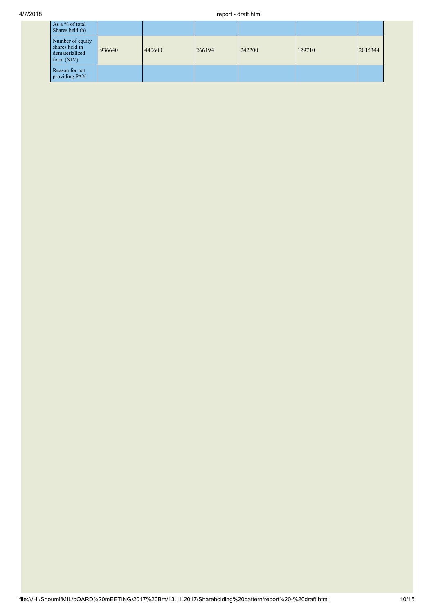## 4/7/2018 report - draft.html

| As a % of total<br>Shares held (b)                                   |        |        |        |        |        |         |
|----------------------------------------------------------------------|--------|--------|--------|--------|--------|---------|
| Number of equity<br>shares held in<br>dematerialized<br>form $(XIV)$ | 936640 | 440600 | 266194 | 242200 | 129710 | 2015344 |
| Reason for not<br>providing PAN                                      |        |        |        |        |        |         |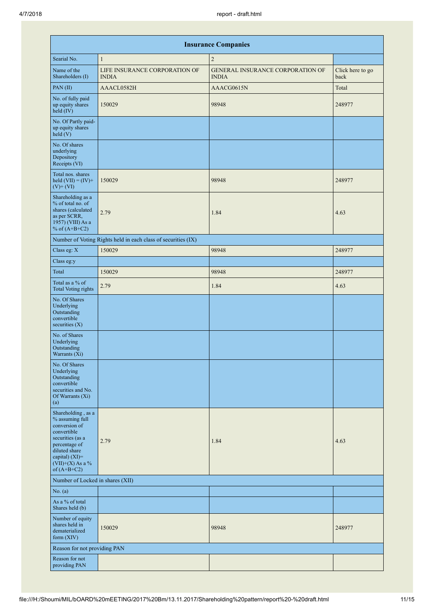|                                                                                                                                                                                      |                                                               | <b>Insurance Companies</b>                              |                          |
|--------------------------------------------------------------------------------------------------------------------------------------------------------------------------------------|---------------------------------------------------------------|---------------------------------------------------------|--------------------------|
| Searial No.                                                                                                                                                                          | $\mathbf{1}$                                                  | $\overline{2}$                                          |                          |
| Name of the<br>Shareholders (I)                                                                                                                                                      | LIFE INSURANCE CORPORATION OF<br><b>INDIA</b>                 | <b>GENERAL INSURANCE CORPORATION OF</b><br><b>INDIA</b> | Click here to go<br>back |
| PAN (II)                                                                                                                                                                             | AAACL0582H                                                    | AAACG0615N                                              | Total                    |
| No. of fully paid<br>up equity shares<br>$held$ (IV)                                                                                                                                 | 150029                                                        | 98948                                                   | 248977                   |
| No. Of Partly paid-<br>up equity shares<br>held (V)                                                                                                                                  |                                                               |                                                         |                          |
| No. Of shares<br>underlying<br>Depository<br>Receipts (VI)                                                                                                                           |                                                               |                                                         |                          |
| Total nos. shares<br>held $(VII) = (IV) +$<br>$(V)+(VI)$                                                                                                                             | 150029                                                        | 98948                                                   | 248977                   |
| Shareholding as a<br>% of total no. of<br>shares (calculated<br>as per SCRR,<br>1957) (VIII) As a<br>% of $(A+B+C2)$                                                                 | 2.79                                                          | 1.84                                                    | 4.63                     |
|                                                                                                                                                                                      | Number of Voting Rights held in each class of securities (IX) |                                                         |                          |
| Class eg: X                                                                                                                                                                          | 150029                                                        | 98948                                                   | 248977                   |
| Class eg:y                                                                                                                                                                           |                                                               |                                                         |                          |
| Total                                                                                                                                                                                | 150029                                                        | 98948                                                   | 248977                   |
| Total as a % of<br><b>Total Voting rights</b>                                                                                                                                        | 2.79                                                          | 1.84                                                    | 4.63                     |
| No. Of Shares<br>Underlying<br>Outstanding<br>convertible<br>securities $(X)$                                                                                                        |                                                               |                                                         |                          |
| No. of Shares<br>Underlying<br>Outstanding<br>Warrants (Xi)                                                                                                                          |                                                               |                                                         |                          |
| No. Of Shares<br>Underlying<br>Outstanding<br>convertible<br>securities and No.<br>Of Warrants (Xi)<br>(a)                                                                           |                                                               |                                                         |                          |
| Shareholding, as a<br>% assuming full<br>conversion of<br>convertible<br>securities (as a<br>percentage of<br>diluted share<br>capital) (XI)=<br>$(VII)+(X)$ As a %<br>of $(A+B+C2)$ | 2.79                                                          | 1.84                                                    | 4.63                     |
| Number of Locked in shares (XII)                                                                                                                                                     |                                                               |                                                         |                          |
| No. $(a)$                                                                                                                                                                            |                                                               |                                                         |                          |
| As a % of total<br>Shares held (b)                                                                                                                                                   |                                                               |                                                         |                          |
| Number of equity<br>shares held in<br>dematerialized<br>form (XIV)                                                                                                                   | 150029                                                        | 98948                                                   | 248977                   |
| Reason for not providing PAN                                                                                                                                                         |                                                               |                                                         |                          |
| Reason for not<br>providing PAN                                                                                                                                                      |                                                               |                                                         |                          |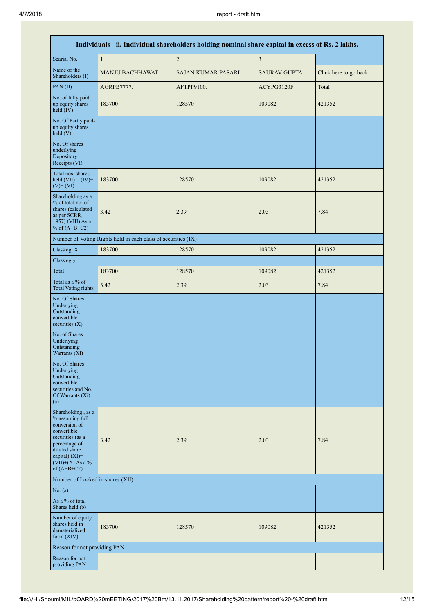| Individuals - ii. Individual shareholders holding nominal share capital in excess of Rs. 2 lakhs.                                                                                       |                                                               |                           |                     |                       |  |  |  |  |
|-----------------------------------------------------------------------------------------------------------------------------------------------------------------------------------------|---------------------------------------------------------------|---------------------------|---------------------|-----------------------|--|--|--|--|
| Searial No.                                                                                                                                                                             | $\mathbf{1}$                                                  | $\sqrt{2}$                | $\mathfrak{Z}$      |                       |  |  |  |  |
| Name of the<br>Shareholders (I)                                                                                                                                                         | <b>MANJU BACHHAWAT</b>                                        | <b>SAJAN KUMAR PASARI</b> | <b>SAURAV GUPTA</b> | Click here to go back |  |  |  |  |
| PAN (II)                                                                                                                                                                                | AGRPB7777J                                                    | AFTPP9100J                | ACYPG3120F          | Total                 |  |  |  |  |
| No. of fully paid<br>up equity shares<br>held (IV)                                                                                                                                      | 183700                                                        | 128570                    | 109082              | 421352                |  |  |  |  |
| No. Of Partly paid-<br>up equity shares<br>held (V)                                                                                                                                     |                                                               |                           |                     |                       |  |  |  |  |
| No. Of shares<br>underlying<br>Depository<br>Receipts (VI)                                                                                                                              |                                                               |                           |                     |                       |  |  |  |  |
| Total nos. shares<br>held $(VII) = (IV) +$<br>$(V)$ + $(VI)$                                                                                                                            | 183700                                                        | 128570                    | 109082              | 421352                |  |  |  |  |
| Shareholding as a<br>% of total no. of<br>shares (calculated<br>as per SCRR,<br>1957) (VIII) As a<br>% of $(A+B+C2)$                                                                    | 3.42                                                          | 2.39                      | 2.03                | 7.84                  |  |  |  |  |
|                                                                                                                                                                                         | Number of Voting Rights held in each class of securities (IX) |                           |                     |                       |  |  |  |  |
| Class eg: X                                                                                                                                                                             | 183700                                                        | 128570                    | 109082              | 421352                |  |  |  |  |
| Class eg:y                                                                                                                                                                              |                                                               |                           |                     |                       |  |  |  |  |
| Total                                                                                                                                                                                   | 183700                                                        | 128570                    | 109082              | 421352                |  |  |  |  |
| Total as a % of<br><b>Total Voting rights</b>                                                                                                                                           | 3.42                                                          | 2.39                      | 2.03                | 7.84                  |  |  |  |  |
| No. Of Shares<br>Underlying<br>Outstanding<br>convertible<br>securities (X)                                                                                                             |                                                               |                           |                     |                       |  |  |  |  |
| No. of Shares<br>Underlying<br>Outstanding<br>Warrants (Xi)                                                                                                                             |                                                               |                           |                     |                       |  |  |  |  |
| No. Of Shares<br>Underlying<br>Outstanding<br>convertible<br>securities and No.<br>Of Warrants (Xi)<br>(a)                                                                              |                                                               |                           |                     |                       |  |  |  |  |
| Shareholding, as a<br>% assuming full<br>conversion of<br>convertible<br>securities (as a<br>percentage of<br>diluted share<br>capital) $(XI)$ =<br>$(VII)+(X)$ As a %<br>of $(A+B+C2)$ | 3.42                                                          | 2.39                      | 2.03                | 7.84                  |  |  |  |  |
| Number of Locked in shares (XII)                                                                                                                                                        |                                                               |                           |                     |                       |  |  |  |  |
| No. $(a)$                                                                                                                                                                               |                                                               |                           |                     |                       |  |  |  |  |
| As a % of total<br>Shares held (b)                                                                                                                                                      |                                                               |                           |                     |                       |  |  |  |  |
| Number of equity<br>shares held in<br>dematerialized<br>form $(XIV)$                                                                                                                    | 183700                                                        | 128570                    | 109082              | 421352                |  |  |  |  |
| Reason for not providing PAN                                                                                                                                                            |                                                               |                           |                     |                       |  |  |  |  |
| Reason for not<br>providing PAN                                                                                                                                                         |                                                               |                           |                     |                       |  |  |  |  |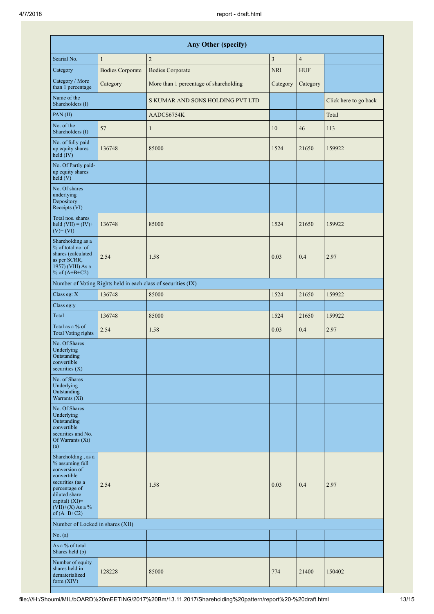| Any Other (specify)                                                                                                                                                                  |                         |                                                               |            |                |                       |  |  |  |  |
|--------------------------------------------------------------------------------------------------------------------------------------------------------------------------------------|-------------------------|---------------------------------------------------------------|------------|----------------|-----------------------|--|--|--|--|
| Searial No.                                                                                                                                                                          | $\mathbf{1}$            | $\overline{2}$                                                | 3          | $\overline{4}$ |                       |  |  |  |  |
| Category                                                                                                                                                                             | <b>Bodies Corporate</b> | <b>Bodies Corporate</b>                                       | <b>NRI</b> | <b>HUF</b>     |                       |  |  |  |  |
| Category / More<br>than 1 percentage                                                                                                                                                 | Category                | More than 1 percentage of shareholding                        | Category   | Category       |                       |  |  |  |  |
| Name of the<br>Shareholders (I)                                                                                                                                                      |                         | S KUMAR AND SONS HOLDING PVT LTD                              |            |                | Click here to go back |  |  |  |  |
| PAN (II)                                                                                                                                                                             |                         | AADCS6754K                                                    |            |                | Total                 |  |  |  |  |
| No. of the<br>Shareholders (I)                                                                                                                                                       | 57                      | $\mathbf{1}$                                                  | 10         | 46             | 113                   |  |  |  |  |
| No. of fully paid<br>up equity shares<br>held (IV)                                                                                                                                   | 136748                  | 85000                                                         | 1524       | 21650          | 159922                |  |  |  |  |
| No. Of Partly paid-<br>up equity shares<br>held (V)                                                                                                                                  |                         |                                                               |            |                |                       |  |  |  |  |
| No. Of shares<br>underlying<br>Depository<br>Receipts (VI)                                                                                                                           |                         |                                                               |            |                |                       |  |  |  |  |
| Total nos. shares<br>held $(VII) = (IV) +$<br>$(V)$ + $(VI)$                                                                                                                         | 136748                  | 85000                                                         | 1524       | 21650          | 159922                |  |  |  |  |
| Shareholding as a<br>% of total no. of<br>shares (calculated<br>as per SCRR,<br>1957) (VIII) As a<br>% of $(A+B+C2)$                                                                 | 2.54                    | 1.58                                                          | 0.03       | 0.4            | 2.97                  |  |  |  |  |
|                                                                                                                                                                                      |                         | Number of Voting Rights held in each class of securities (IX) |            |                |                       |  |  |  |  |
| Class eg: X                                                                                                                                                                          | 136748                  | 85000                                                         | 1524       | 21650          | 159922                |  |  |  |  |
| Class eg:y                                                                                                                                                                           |                         |                                                               |            |                |                       |  |  |  |  |
| Total                                                                                                                                                                                | 136748                  | 85000                                                         | 1524       | 21650          | 159922                |  |  |  |  |
| Total as a % of<br><b>Total Voting rights</b>                                                                                                                                        | 2.54                    | 1.58                                                          | 0.03       | 0.4            | 2.97                  |  |  |  |  |
| No. Of Shares<br>Underlying<br>Outstanding<br>convertible<br>securities $(X)$                                                                                                        |                         |                                                               |            |                |                       |  |  |  |  |
| No. of Shares<br>Underlying<br>Outstanding<br>Warrants (Xi)                                                                                                                          |                         |                                                               |            |                |                       |  |  |  |  |
| No. Of Shares<br>Underlying<br>Outstanding<br>convertible<br>securities and No.<br>Of Warrants (Xi)<br>(a)                                                                           |                         |                                                               |            |                |                       |  |  |  |  |
| Shareholding, as a<br>% assuming full<br>conversion of<br>convertible<br>securities (as a<br>percentage of<br>diluted share<br>capital) (XI)=<br>$(VII)+(X)$ As a %<br>of $(A+B+C2)$ | 2.54                    | 1.58                                                          | 0.03       | 0.4            | 2.97                  |  |  |  |  |
| Number of Locked in shares (XII)                                                                                                                                                     |                         |                                                               |            |                |                       |  |  |  |  |
| No. $(a)$                                                                                                                                                                            |                         |                                                               |            |                |                       |  |  |  |  |
| As a % of total<br>Shares held (b)                                                                                                                                                   |                         |                                                               |            |                |                       |  |  |  |  |
| Number of equity<br>shares held in<br>dematerialized<br>form $(XIV)$                                                                                                                 | 128228                  | 85000                                                         | 774        | 21400          | 150402                |  |  |  |  |